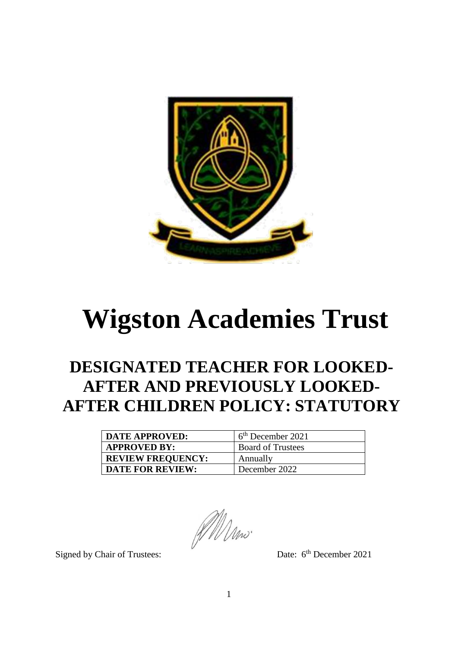

# **Wigston Academies Trust**

# **DESIGNATED TEACHER FOR LOOKED-AFTER AND PREVIOUSLY LOOKED-AFTER CHILDREN POLICY: STATUTORY**

| <b>DATE APPROVED:</b>    | $6th$ December 2021      |
|--------------------------|--------------------------|
| <b>APPROVED BY:</b>      | <b>Board of Trustees</b> |
| <b>REVIEW FREQUENCY:</b> | Annually                 |
| <b>DATE FOR REVIEW:</b>  | December 2022            |

AM Mw.

Signed by Chair of Trustees:

Date: 6<sup>th</sup> December 2021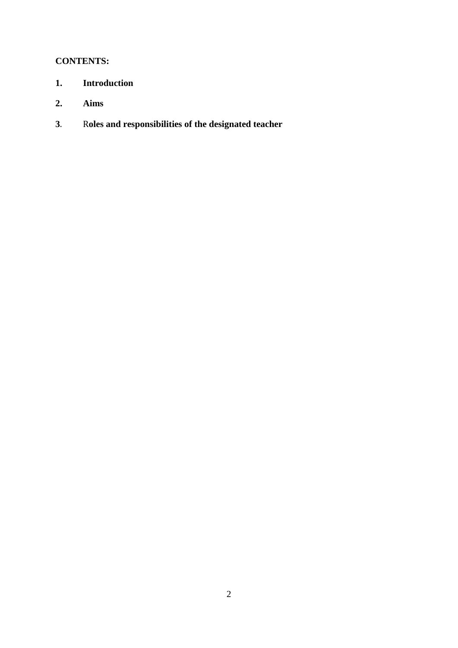# **CONTENTS:**

- **1. Introduction**
- **2. Aims**
- **3**. R**oles and responsibilities of the designated teacher**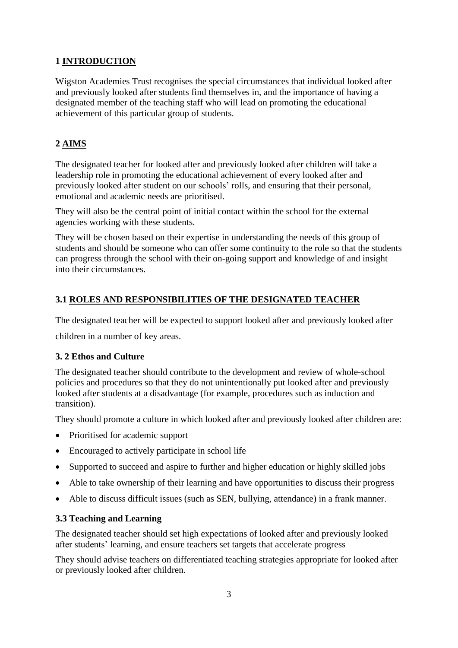# **1 INTRODUCTION**

Wigston Academies Trust recognises the special circumstances that individual looked after and previously looked after students find themselves in, and the importance of having a designated member of the teaching staff who will lead on promoting the educational achievement of this particular group of students.

## **2 AIMS**

The designated teacher for looked after and previously looked after children will take a leadership role in promoting the educational achievement of every looked after and previously looked after student on our schools' rolls, and ensuring that their personal, emotional and academic needs are prioritised.

They will also be the central point of initial contact within the school for the external agencies working with these students.

They will be chosen based on their expertise in understanding the needs of this group of students and should be someone who can offer some continuity to the role so that the students can progress through the school with their on-going support and knowledge of and insight into their circumstances.

### **3.1 ROLES AND RESPONSIBILITIES OF THE DESIGNATED TEACHER**

The designated teacher will be expected to support looked after and previously looked after

children in a number of key areas.

### **3. 2 Ethos and Culture**

The designated teacher should contribute to the development and review of whole-school policies and procedures so that they do not unintentionally put looked after and previously looked after students at a disadvantage (for example, procedures such as induction and transition).

They should promote a culture in which looked after and previously looked after children are:

- Prioritised for academic support
- Encouraged to actively participate in school life
- Supported to succeed and aspire to further and higher education or highly skilled jobs
- Able to take ownership of their learning and have opportunities to discuss their progress
- Able to discuss difficult issues (such as SEN, bullying, attendance) in a frank manner.

#### **3.3 Teaching and Learning**

The designated teacher should set high expectations of looked after and previously looked after students' learning, and ensure teachers set targets that accelerate progress

They should advise teachers on differentiated teaching strategies appropriate for looked after or previously looked after children.